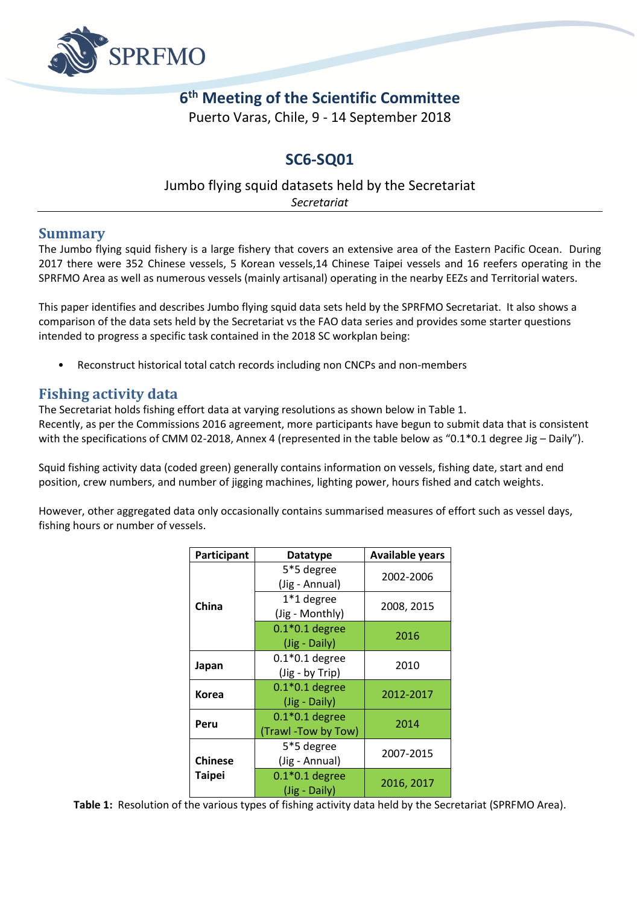

## **6 th Meeting of the Scientific Committee**

Puerto Varas, Chile, 9 - 14 September 2018

### **SC6-SQ01**

# Jumbo flying squid datasets held by the Secretariat

*Secretariat*

#### **Summary**

The Jumbo flying squid fishery is a large fishery that covers an extensive area of the Eastern Pacific Ocean. During 2017 there were 352 Chinese vessels, 5 Korean vessels,14 Chinese Taipei vessels and 16 reefers operating in the SPRFMO Area as well as numerous vessels (mainly artisanal) operating in the nearby EEZs and Territorial waters.

This paper identifies and describes Jumbo flying squid data sets held by the SPRFMO Secretariat. It also shows a comparison of the data sets held by the Secretariat vs the FAO data series and provides some starter questions intended to progress a specific task contained in the 2018 SC workplan being:

• Reconstruct historical total catch records including non CNCPs and non-members

#### **Fishing activity data**

The Secretariat holds fishing effort data at varying resolutions as shown below in Table 1. Recently, as per the Commissions 2016 agreement, more participants have begun to submit data that is consistent with the specifications of CMM 02-2018, Annex 4 (represented in the table below as "0.1\*0.1 degree Jig – Daily").

Squid fishing activity data (coded green) generally contains information on vessels, fishing date, start and end position, crew numbers, and number of jigging machines, lighting power, hours fished and catch weights.

However, other aggregated data only occasionally contains summarised measures of effort such as vessel days, fishing hours or number of vessels.

| Participant    | <b>Datatype</b>                        | <b>Available years</b> |  |  |  |  |
|----------------|----------------------------------------|------------------------|--|--|--|--|
|                | 5*5 degree<br>(Jig - Annual)           | 2002-2006              |  |  |  |  |
| China          | 1*1 degree<br>(Jig - Monthly)          | 2008, 2015             |  |  |  |  |
|                | $0.1*0.1$ degree<br>(Jig - Daily)      | 2016                   |  |  |  |  |
| Japan          | $0.1*0.1$ degree<br>(Jig - by Trip)    | 2010                   |  |  |  |  |
| Korea          | $0.1*0.1$ degree<br>(Jig - Daily)      | 2012-2017              |  |  |  |  |
| Peru           | $0.1*0.1$ degree<br>(Trawl-Tow by Tow) | 2014                   |  |  |  |  |
| <b>Chinese</b> | 5*5 degree<br>(Jig - Annual)           | 2007-2015              |  |  |  |  |
| Taipei         | $0.1*0.1$ degree<br>(Jig - Daily)      | 2016, 2017             |  |  |  |  |

**Table 1:** Resolution of the various types of fishing activity data held by the Secretariat (SPRFMO Area).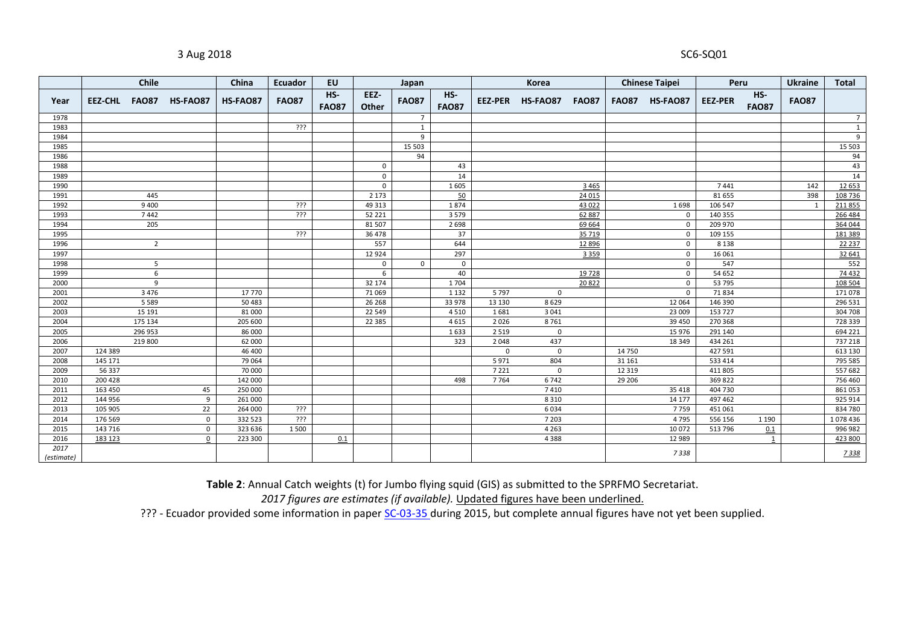#### 3 Aug 2018 SC6-SQ01

|            |         | Chile          |                        | China    | Ecuador      | EU                  |               | Japan          |                     | Korea       |              | <b>Chinese Taipei</b> |              | Peru            |                | <b>Ukraine</b>        | <b>Total</b> |                |
|------------|---------|----------------|------------------------|----------|--------------|---------------------|---------------|----------------|---------------------|-------------|--------------|-----------------------|--------------|-----------------|----------------|-----------------------|--------------|----------------|
| Year       |         |                | EEZ-CHL FAO87 HS-FAO87 | HS-FAO87 | <b>FAO87</b> | HS-<br><b>FAO87</b> | EEZ-<br>Other | <b>FAO87</b>   | HS-<br><b>FAO87</b> | EEZ-PER     | HS-FAO87     | <b>FAO87</b>          | <b>FAO87</b> | <b>HS-FAO87</b> | <b>EEZ-PER</b> | $HS-$<br><b>FAO87</b> | <b>FAO87</b> |                |
| 1978       |         |                |                        |          |              |                     |               | $\overline{7}$ |                     |             |              |                       |              |                 |                |                       |              | $\overline{7}$ |
| 1983       |         |                |                        |          | ???          |                     |               | 1              |                     |             |              |                       |              |                 |                |                       |              | 1              |
| 1984       |         |                |                        |          |              |                     |               | 9              |                     |             |              |                       |              |                 |                |                       |              | 9              |
| 1985       |         |                |                        |          |              |                     |               | 15 503         |                     |             |              |                       |              |                 |                |                       |              | 15 503         |
| 1986       |         |                |                        |          |              |                     |               | 94             |                     |             |              |                       |              |                 |                |                       |              | 94             |
| 1988       |         |                |                        |          |              |                     | $\mathbf 0$   |                | 43                  |             |              |                       |              |                 |                |                       |              | 43             |
| 1989       |         |                |                        |          |              |                     | $\mathbf 0$   |                | 14                  |             |              |                       |              |                 |                |                       |              | 14             |
| 1990       |         |                |                        |          |              |                     | $\mathsf 0$   |                | 1605                |             |              | 3 4 6 5               |              |                 | 7441           |                       | 142          | 12 653         |
| 1991       |         | 445            |                        |          |              |                     | 2 1 7 3       |                | 50                  |             |              | 24 015                |              |                 | 81 655         |                       | 398          | 108 736        |
| 1992       |         | 9 4 0 0        |                        |          | <u>ذذذ</u>   |                     | 49 313        |                | 1874                |             |              | 43 022                |              | 1698            | 106 547        |                       | 1            | 211855         |
| 1993       |         | 7442           |                        |          | <u>ذذذ</u>   |                     | 52 221        |                | 3579                |             |              | 62 887                |              | 0               | 140 355        |                       |              | 266 484        |
| 1994       |         | 205            |                        |          |              |                     | 81 507        |                | 2698                |             |              | 69 664                |              | $\mathbf 0$     | 209 970        |                       |              | 364 044        |
| 1995       |         |                |                        |          | <u>ذذذ</u>   |                     | 36 478        |                | 37                  |             |              | 35 719                |              | $\mathbf 0$     | 109 155        |                       |              | 181 389        |
| 1996       |         | $\overline{2}$ |                        |          |              |                     | 557           |                | 644                 |             |              | 12 8 96               |              | $\mathbf 0$     | 8 1 3 8        |                       |              | 22 237         |
| 1997       |         |                |                        |          |              |                     | 12 9 24       |                | 297                 |             |              | 3 3 5 9               |              | $\mathbf 0$     | 16 06 1        |                       |              | 32 641         |
| 1998       |         | 5              |                        |          |              |                     | $\mathsf{o}$  | $\mathbf 0$    | $\mathbf 0$         |             |              |                       |              | $\mathbf 0$     | 547            |                       |              | 552            |
| 1999       |         | 6              |                        |          |              |                     | 6             |                | 40                  |             |              | 19728                 |              | $\mathbf 0$     | 54 652         |                       |              | 74 432         |
| 2000       |         | 9              |                        |          |              |                     | 32 174        |                | 1704                |             |              | 20822                 |              | $\mathbf 0$     | 53 795         |                       |              | 108 504        |
| 2001       |         | 3 4 7 6        |                        | 17 770   |              |                     | 71 069        |                | 1 1 3 2             | 5797        | $\mathbf{0}$ |                       |              | $\mathbf 0$     | 71834          |                       |              | 171 078        |
| 2002       |         | 5 5 8 9        |                        | 50 483   |              |                     | 26 268        |                | 33 978              | 13 130      | 8629         |                       |              | 12 064          | 146 390        |                       |              | 296 531        |
| 2003       |         | 15 191         |                        | 81 000   |              |                     | 22 5 4 9      |                | 4510                | 1681        | 3041         |                       |              | 23 009          | 153727         |                       |              | 304 708        |
| 2004       |         | 175 134        |                        | 205 600  |              |                     | 22 3 8 5      |                | 4615                | 2026        | 8761         |                       |              | 39 450          | 270 368        |                       |              | 728 339        |
| 2005       |         | 296 953        |                        | 86 000   |              |                     |               |                | 1633                | 2519        | $\mathbf 0$  |                       |              | 15 976          | 291 140        |                       |              | 694 221        |
| 2006       |         | 219 800        |                        | 62 000   |              |                     |               |                | 323                 | 2048        | 437          |                       |              | 18 349          | 434 261        |                       |              | 737 218        |
| 2007       | 124 389 |                |                        | 46 400   |              |                     |               |                |                     | $\mathsf 0$ | $\mathbf 0$  |                       | 14 750       |                 | 427591         |                       |              | 613 130        |
| 2008       | 145 171 |                |                        | 79 064   |              |                     |               |                |                     | 5971        | 804          |                       | 31 161       |                 | 533 414        |                       |              | 795 585        |
| 2009       | 56 337  |                |                        | 70 000   |              |                     |               |                |                     | 7221        | $\mathsf 0$  |                       | 12 3 19      |                 | 411805         |                       |              | 557 682        |
| 2010       | 200 428 |                |                        | 142 000  |              |                     |               |                | 498                 | 7764        | 6742         |                       | 29 20 6      |                 | 369822         |                       |              | 756 460        |
| 2011       | 163 450 |                | 45                     | 250 000  |              |                     |               |                |                     |             | 7410         |                       |              | 35 418          | 404 730        |                       |              | 861053         |
| 2012       | 144 956 |                | 9                      | 261 000  |              |                     |               |                |                     |             | 8310         |                       |              | 14 177          | 497 462        |                       |              | 925 914        |
| 2013       | 105 905 |                | 22                     | 264 000  | ???          |                     |               |                |                     |             | 6034         |                       |              | 7759            | 451061         |                       |              | 834 780        |
| 2014       | 176 569 |                | $\mathbf{0}$           | 332 523  | ???          |                     |               |                |                     |             | 7 2 0 3      |                       |              | 4795            | 556 156        | 1 1 9 0               |              | 1078 436       |
| 2015       | 143 716 |                | $\mathbf{0}$           | 323 636  | 1500         |                     |               |                |                     |             | 4 2 6 3      |                       |              | 10 072          | 513 796        | 0.1                   |              | 996 982        |
| 2016       | 183 123 |                | $\mathbf{0}$           | 223 300  |              | 0.1                 |               |                |                     |             | 4388         |                       |              | 12 989          |                | 1                     |              | 423 800        |
| 2017       |         |                |                        |          |              |                     |               |                |                     |             |              |                       |              | 7338            |                |                       |              | 7338           |
| (estimate) |         |                |                        |          |              |                     |               |                |                     |             |              |                       |              |                 |                |                       |              |                |

**Table 2**: Annual Catch weights (t) for Jumbo flying squid (GIS) as submitted to the SPRFMO Secretariat.

*figures are estimates (if available).* Updated figures have been underlined.

??? - Ecuador provided some information in pape[r SC-03-35 d](http://www.sprfmo.int/assets/Meetings/Meetings-2013-plus/SC-Meetings/3rd-SC-Meeting-2015/Papers/SC-03-35-Distribution-and-Abundance-of-Giant-Squid-in-Ecuadorian-waters.pdf)uring 2015, but complete annual figures have not yet been supplied.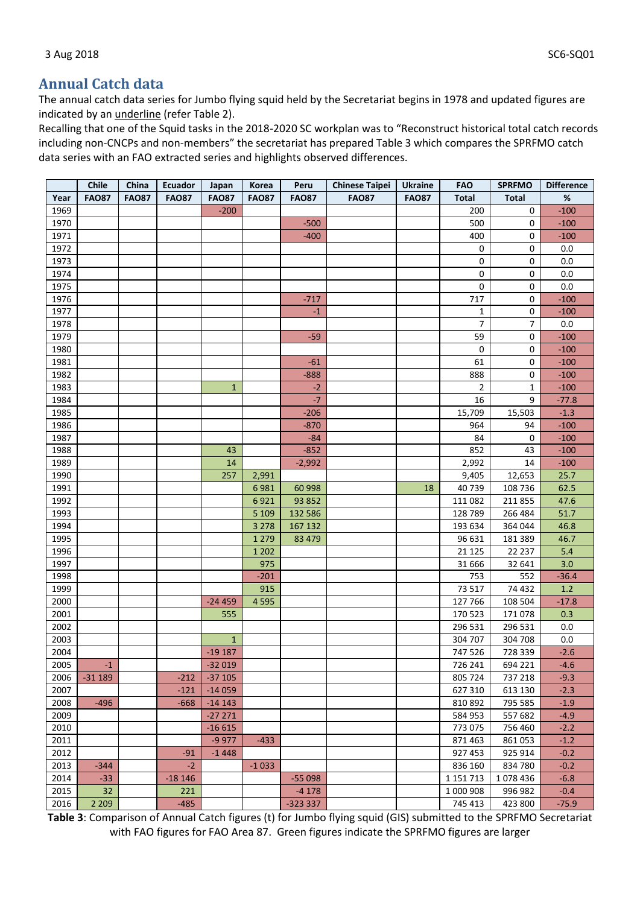#### **Annual Catch data**

The annual catch data series for Jumbo flying squid held by the Secretariat begins in 1978 and updated figures are indicated by an underline (refer Table 2).

Recalling that one of the Squid tasks in the 2018-2020 SC workplan was to "Reconstruct historical total catch records including non-CNCPs and non-members" the secretariat has prepared Table 3 which compares the SPRFMO catch data series with an FAO extracted series and highlights observed differences.

|      | Chile        | China        | Ecuador       | Japan               | Korea        | Peru         | <b>Chinese Taipei</b> | <b>Ukraine</b> | <b>FAO</b>     | <b>SPRFMO</b> | <b>Difference</b> |
|------|--------------|--------------|---------------|---------------------|--------------|--------------|-----------------------|----------------|----------------|---------------|-------------------|
| Year | <b>FAO87</b> | <b>FAO87</b> | <b>FAO87</b>  | <b>FAO87</b>        | <b>FAO87</b> | <b>FAO87</b> | <b>FAO87</b>          | <b>FAO87</b>   | <b>Total</b>   | <b>Total</b>  | %                 |
| 1969 |              |              |               | $-200$              |              |              |                       |                | 200            | 0             | $-100$            |
| 1970 |              |              |               |                     |              | $-500$       |                       |                | 500            | 0             | $-100$            |
| 1971 |              |              |               |                     |              | $-400$       |                       |                | 400            | 0             | $-100$            |
| 1972 |              |              |               |                     |              |              |                       |                | 0              | 0             | 0.0               |
| 1973 |              |              |               |                     |              |              |                       |                | $\mathbf 0$    | 0             | 0.0               |
| 1974 |              |              |               |                     |              |              |                       |                | $\mathbf 0$    | 0             | 0.0               |
| 1975 |              |              |               |                     |              |              |                       |                | $\mathbf 0$    | 0             | 0.0               |
| 1976 |              |              |               |                     |              | $-717$       |                       |                | 717            | 0             | $-100$            |
| 1977 |              |              |               |                     |              | $-1$         |                       |                | 1              | 0             | $-100$            |
| 1978 |              |              |               |                     |              |              |                       |                | 7              | 7             | 0.0               |
| 1979 |              |              |               |                     |              | $-59$        |                       |                | 59             | 0             | $-100$            |
| 1980 |              |              |               |                     |              |              |                       |                | $\mathbf 0$    | 0             | $-100$            |
| 1981 |              |              |               |                     |              | $-61$        |                       |                | 61             | 0             | $-100$            |
| 1982 |              |              |               |                     |              | $-888$       |                       |                | 888            | 0             | $-100$            |
| 1983 |              |              |               | $\mathbf{1}$        |              | $-2$         |                       |                | $\overline{2}$ | $\mathbf 1$   | $-100$            |
| 1984 |              |              |               |                     |              | $-7$         |                       |                | 16             | 9             | $-77.8$           |
| 1985 |              |              |               |                     |              | $-206$       |                       |                | 15,709         | 15,503        | $-1.3$            |
| 1986 |              |              |               |                     |              | $-870$       |                       |                | 964            | 94            | $-100$            |
| 1987 |              |              |               |                     |              | $-84$        |                       |                | 84             | 0             | $-100$            |
| 1988 |              |              |               | 43                  |              | $-852$       |                       |                | 852            | 43            | $-100$            |
| 1989 |              |              |               | 14                  |              | $-2,992$     |                       |                | 2,992          | 14            | $-100$            |
| 1990 |              |              |               | 257                 | 2,991        |              |                       |                | 9,405          | 12,653        | 25.7              |
| 1991 |              |              |               |                     | 6981         | 60 998       |                       | 18             | 40739          | 108 736       | 62.5              |
| 1992 |              |              |               |                     | 6921         | 93 852       |                       |                | 111 082        | 211 855       | 47.6              |
| 1993 |              |              |               |                     | 5 1 0 9      | 132 586      |                       |                | 128 789        | 266 484       | 51.7              |
| 1994 |              |              |               |                     | 3 2 7 8      | 167 132      |                       |                | 193 634        | 364 044       | 46.8              |
| 1995 |              |              |               |                     | 1 2 7 9      | 83 4 79      |                       |                | 96 631         | 181 389       | 46.7              |
| 1996 |              |              |               |                     | 1 2 0 2      |              |                       |                | 21 1 25        | 22 237        | 5.4               |
| 1997 |              |              |               |                     | 975          |              |                       |                | 31 666         | 32 641        | 3.0               |
| 1998 |              |              |               |                     | $-201$       |              |                       |                | 753            | 552           | $-36.4$           |
| 1999 |              |              |               |                     | 915          |              |                       |                | 73 517         | 74 432        | 1.2               |
| 2000 |              |              |               | $-24459$            | 4 5 9 5      |              |                       |                | 127 766        | 108 504       | $-17.8$           |
| 2001 |              |              |               | 555                 |              |              |                       |                | 170 523        | 171078        | 0.3               |
| 2002 |              |              |               |                     |              |              |                       |                | 296 531        | 296 531       | 0.0               |
| 2003 |              |              |               | $\mathbf{1}$        |              |              |                       |                | 304 707        | 304 708       | 0.0               |
| 2004 |              |              |               | $-19187$            |              |              |                       |                | 747 526        | 728 339       | $-2.6$            |
| 2005 | $-1$         |              |               | $-32019$            |              |              |                       |                | 726 241        | 694 221       | $-4.6$            |
| 2006 | $-31189$     |              | $-212$        | $-37105$            |              |              |                       |                | 805 724        | 737 218       | $-9.3$            |
| 2007 |              |              | $-121$        | $-14059$            |              |              |                       |                | 627 310        | 613 130       | $-2.3$            |
| 2008 | $-496$       |              | $-668$        | $-14143$            |              |              |                       |                | 810 892        | 795 585       | $-1.9$            |
| 2009 |              |              |               |                     |              |              |                       |                | 584 953        | 557 682       | $-4.9$            |
| 2010 |              |              |               | $-27271$            |              |              |                       |                | 773 075        | 756 460       | $-2.2$            |
| 2011 |              |              |               | $-16615$<br>$-9977$ | $-433$       |              |                       |                | 871 463        | 861 053       | $-1.2$            |
| 2012 |              |              |               | $-1448$             |              |              |                       |                | 927 453        | 925 914       | $-0.2$            |
|      |              |              | $-91$<br>$-2$ |                     |              |              |                       |                |                |               |                   |
| 2013 | -344         |              |               |                     | $-1033$      |              |                       |                | 836 160        | 834 780       | $-0.2$            |
| 2014 | $-33$        |              | $-18146$      |                     |              | $-55098$     |                       |                | 1 1 5 1 7 1 3  | 1078436       | $-6.8$            |
| 2015 | 32           |              | 221           |                     |              | $-4178$      |                       |                | 1 000 908      | 996 982       | $-0.4$            |
| 2016 | 2 2 0 9      |              | $-485$        |                     |              | $-323337$    |                       |                | 745 413        | 423 800       | $-75.9$           |

**Table 3**: Comparison of Annual Catch figures (t) for Jumbo flying squid (GIS) submitted to the SPRFMO Secretariat with FAO figures for FAO Area 87. Green figures indicate the SPRFMO figures are larger